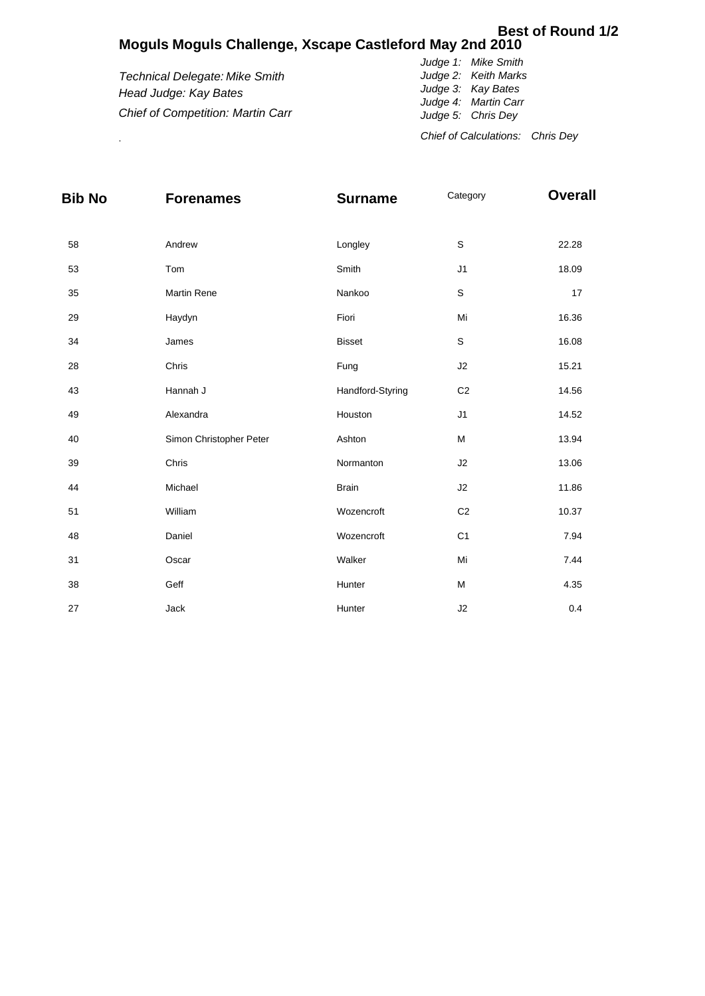## **Moguls Moguls Challenge, Xscape Castleford May 2nd 2010 Best of Round 1/2**

*Technical Delegate: Mike Smith Head Judge: Kay Bates Chief of Competition: Martin Carr*

*Judge 1: Mike Smith Judge 2: Keith Marks Judge 3: Kay Bates Judge 4: Martin Carr Judge 5: Chris Dey* . *Chief of Calculations: Chris Dey*

| <b>Bib No</b> | <b>Forenames</b>        | <b>Surname</b>   | Category       | <b>Overall</b> |
|---------------|-------------------------|------------------|----------------|----------------|
|               |                         |                  |                |                |
| 58            | Andrew                  | Longley          | $\mathsf S$    | 22.28          |
| 53            | Tom                     | Smith            | J1             | 18.09          |
| 35            | <b>Martin Rene</b>      | Nankoo           | $\mathbb S$    | 17             |
| 29            | Haydyn                  | Fiori            | Mi             | 16.36          |
| 34            | James                   | <b>Bisset</b>    | $\mathsf S$    | 16.08          |
| 28            | Chris                   | Fung             | J2             | 15.21          |
| 43            | Hannah J                | Handford-Styring | C <sub>2</sub> | 14.56          |
| 49            | Alexandra               | Houston          | J1             | 14.52          |
| 40            | Simon Christopher Peter | Ashton           | M              | 13.94          |
| 39            | Chris                   | Normanton        | J2             | 13.06          |
| 44            | Michael                 | <b>Brain</b>     | J2             | 11.86          |
| 51            | William                 | Wozencroft       | C <sub>2</sub> | 10.37          |
| 48            | Daniel                  | Wozencroft       | C <sub>1</sub> | 7.94           |
| 31            | Oscar                   | Walker           | Mi             | 7.44           |
| 38            | Geff                    | Hunter           | М              | 4.35           |
| 27            | Jack                    | Hunter           | J2             | 0.4            |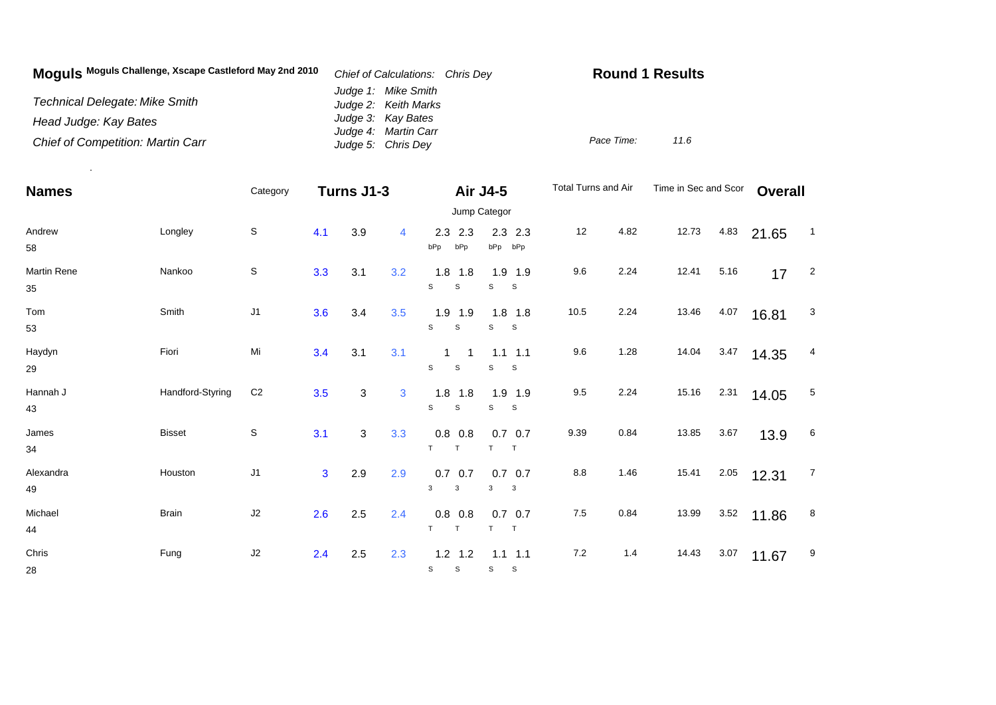| Moquis Moguls Challenge, Xscape Castleford May 2nd 2010 | Chief of Calculations: Chris Dev            | <b>Round 1 Results</b> |  |  |  |
|---------------------------------------------------------|---------------------------------------------|------------------------|--|--|--|
| <b>Technical Delegate: Mike Smith</b>                   | Judge 1: Mike Smith<br>Judge 2: Keith Marks |                        |  |  |  |
| Head Judge: Kay Bates                                   | Judge 3: Kay Bates<br>Judge 4: Martin Carr  |                        |  |  |  |
| <b>Chief of Competition: Martin Carr</b>                | Judge 5: Chris Dey                          | Pace Time:<br>11.6     |  |  |  |

.

| <b>Names</b>             |                  | Category       | Turns J1-3   |     |                | Air J4-5                       | Jump Categor                    | Total Turns and Air |      | Time in Sec and Scor |      | <b>Overall</b> |                |
|--------------------------|------------------|----------------|--------------|-----|----------------|--------------------------------|---------------------------------|---------------------|------|----------------------|------|----------------|----------------|
| Andrew<br>58             | Longley          | S              | 4.1          | 3.9 | $\overline{4}$ | 2.3<br>2.3<br>bPp<br>bPp       | $2.3$ 2.3<br>bPp bPp            | 12                  | 4.82 | 12.73                | 4.83 | 21.65          | $\overline{1}$ |
| <b>Martin Rene</b><br>35 | Nankoo           | S              | 3.3          | 3.1 | 3.2            | 1.8<br>1.8<br>S<br>S           | $1.9$ 1.9<br>S<br>S             | 9.6                 | 2.24 | 12.41                | 5.16 | 17             | $\overline{2}$ |
| Tom<br>53                | Smith            | J1             | 3.6          | 3.4 | 3.5            | $1.9$ 1.9<br>s<br>S            | $1.8$ 1.8<br>s<br><b>S</b>      | 10.5                | 2.24 | 13.46                | 4.07 | 16.81          | 3              |
| Haydyn<br>29             | Fiori            | Mi             | 3.4          | 3.1 | 3.1            | 1<br>1<br>S<br>$\mathsf S$     | $1.1$ 1.1<br>S<br>S             | 9.6                 | 1.28 | 14.04                | 3.47 | 14.35          | 4              |
| Hannah J<br>43           | Handford-Styring | C <sub>2</sub> | 3.5          | 3   | 3              | $1.8$ 1.8<br>S<br>$\mathsf{s}$ | $1.9$ 1.9<br>s<br>S.            | 9.5                 | 2.24 | 15.16                | 2.31 | 14.05          | 5              |
| James<br>34              | <b>Bisset</b>    | S              | 3.1          | 3   | 3.3            | 0.8<br>0.8<br>T<br>$\top$      | $0.7\quad 0.7$<br>T<br>$\top$   | 9.39                | 0.84 | 13.85                | 3.67 | 13.9           | 6              |
| Alexandra<br>49          | Houston          | J <sub>1</sub> | $\mathbf{3}$ | 2.9 | 2.9            | $0.7\ 0.7$<br>3<br>3           | $0.7\ 0.7$<br>3<br>$\mathbf{3}$ | $8.8\,$             | 1.46 | 15.41                | 2.05 | 12.31          | $\overline{7}$ |
| Michael<br>44            | <b>Brain</b>     | J2             | 2.6          | 2.5 | 2.4            | $0.8\ 0.8$<br>T<br>T           | $0.7\ 0.7$<br>T<br>$\top$       | 7.5                 | 0.84 | 13.99                | 3.52 | 11.86          | 8              |
| Chris<br>28              | Fung             | J2             | 2.4          | 2.5 | 2.3            | $1.2$ 1.2<br>s<br>S            | $1.1$ 1.1<br>s<br>-S            | 7.2                 | 1.4  | 14.43                | 3.07 | 11.67          | 9              |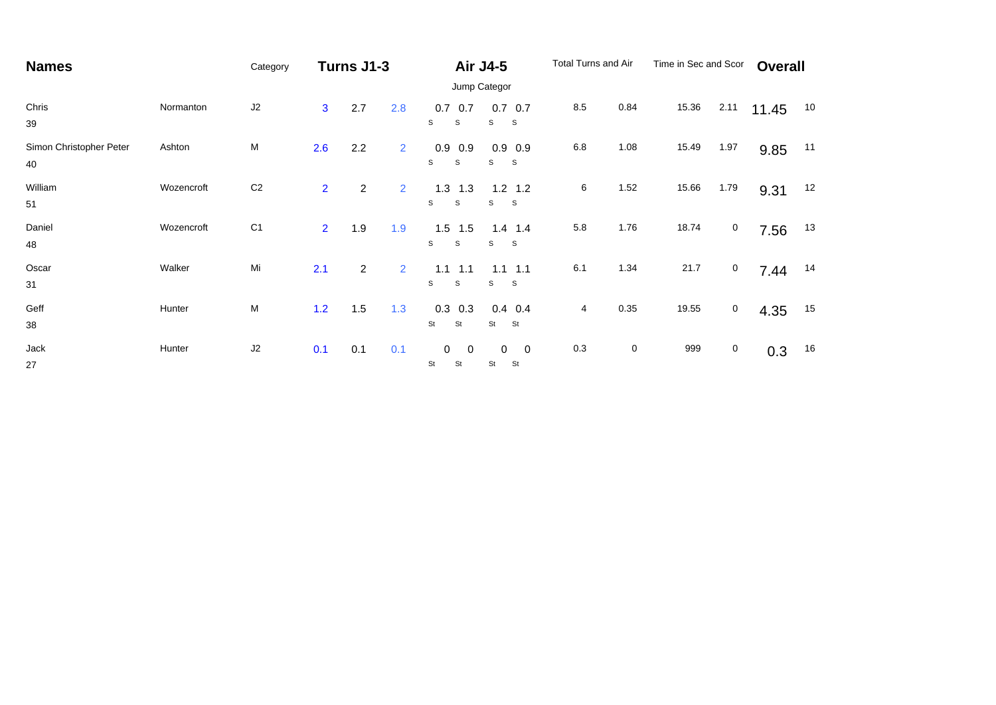| <b>Names</b>                  |              | Category       |                | Turns J1-3     |                |                                 | <b>Air J4-5</b>                     | Total Turns and Air |             | Time in Sec and Scor |             | <b>Overall</b> |    |
|-------------------------------|--------------|----------------|----------------|----------------|----------------|---------------------------------|-------------------------------------|---------------------|-------------|----------------------|-------------|----------------|----|
|                               | Jump Categor |                |                |                |                |                                 |                                     |                     |             |                      |             |                |    |
| Chris<br>39                   | Normanton    | J2             | $\overline{3}$ | 2.7            | 2.8            | 0.7<br>0.7<br>s<br>S            | $0.7\quad 0.7$<br>S<br><sub>S</sub> | 8.5                 | 0.84        | 15.36                | 2.11        | 11.45          | 10 |
| Simon Christopher Peter<br>40 | Ashton       | M              | 2.6            | 2.2            | $\overline{2}$ | 0.9<br>0.9<br>S<br>S            | $0.9$ 0.9<br><b>S</b><br>S          | 6.8                 | 1.08        | 15.49                | 1.97        | 9.85           | 11 |
| William<br>51                 | Wozencroft   | C <sub>2</sub> | $\overline{2}$ | $\overline{2}$ | $\overline{2}$ | 1.3<br>1.3<br>S<br>S            | $1.2$ 1.2<br><sub>S</sub><br>S      | 6                   | 1.52        | 15.66                | 1.79        | 9.31           | 12 |
| Daniel<br>48                  | Wozencroft   | C <sub>1</sub> | $\overline{2}$ | 1.9            | 1.9            | 1.5<br>1.5<br>S<br>S            | $1.4$ 1.4<br>S<br>S                 | 5.8                 | 1.76        | 18.74                | $\mathbf 0$ | 7.56           | 13 |
| Oscar<br>31                   | Walker       | Mi             | 2.1            | $\overline{2}$ | $\overline{2}$ | 1.1<br>1.1<br>S<br>S            | 1.1<br>1.1<br>S<br>S                | 6.1                 | 1.34        | 21.7                 | $\mathbf 0$ | 7.44           | 14 |
| Geff<br>38                    | Hunter       | M              | 1.2            | 1.5            | 1.3            | 0.3<br>0.3<br>St<br>St          | $0.4$ 0.4<br>St<br>St               | 4                   | 0.35        | 19.55                | $\mathbf 0$ | 4.35           | 15 |
| Jack<br>27                    | Hunter       | J2             | 0.1            | 0.1            | 0.1            | 0<br>$\overline{0}$<br>St<br>St | 0<br>0<br>St<br>St                  | 0.3                 | $\mathbf 0$ | 999                  | $\mathbf 0$ | 0.3            | 16 |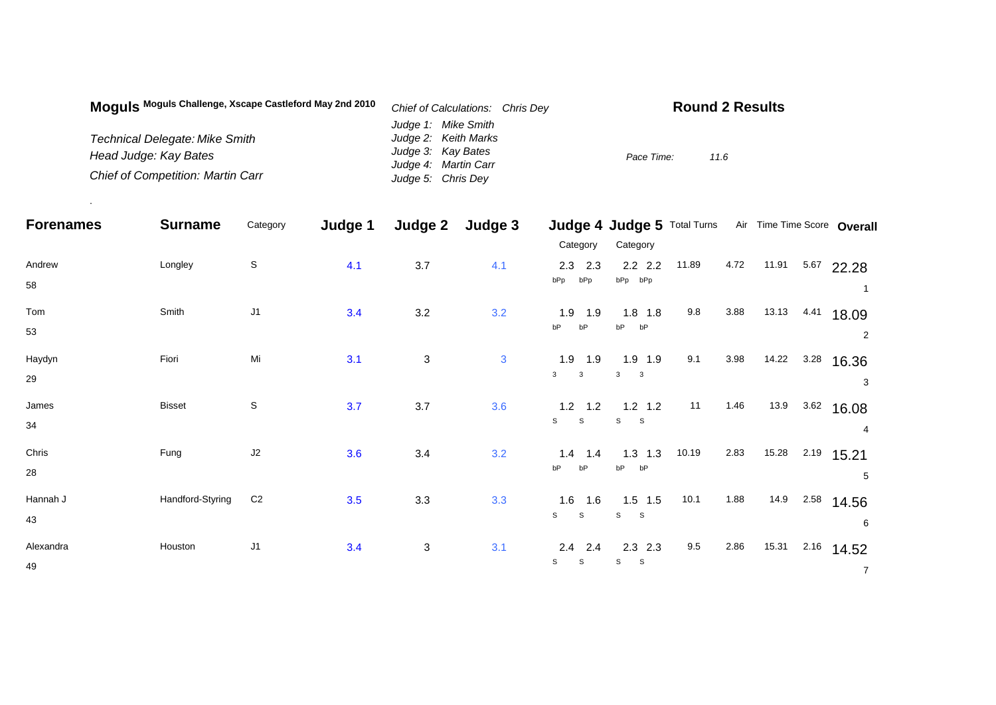| Moquis Moguls Challenge, Xscape Castleford May 2nd 2010 | Chief of Calculations: Chris Dey | <b>Round 2 Results</b> |
|---------------------------------------------------------|----------------------------------|------------------------|
|                                                         | Judge 1: Mike Smith              |                        |
| <b>Technical Delegate: Mike Smith</b>                   | Judge 2: Keith Marks             |                        |
| Head Judge: Kay Bates                                   | Judge 3: Kay Bates               | Pace Time:<br>11.6     |
|                                                         | Judge 4: Martin Carr             |                        |
| <b>Chief of Competition: Martin Carr</b>                | Judge 5: Chris Dey               |                        |

.

|                  | Category       |     |              |              |                             |                                                                  |                                                       |           |                             |       |                             |
|------------------|----------------|-----|--------------|--------------|-----------------------------|------------------------------------------------------------------|-------------------------------------------------------|-----------|-----------------------------|-------|-----------------------------|
|                  |                |     |              |              | Category                    | Category                                                         |                                                       |           |                             |       |                             |
| Longley          | $\mathbb S$    | 4.1 | 3.7          | 4.1          | $2.3$ 2.3                   | $2.2$ $2.2$                                                      | 11.89                                                 | 4.72      | 11.91                       | 5.67  | 22.28                       |
|                  |                |     |              |              |                             |                                                                  |                                                       |           |                             |       |                             |
| Smith            | J1             | 3.4 | 3.2          | 3.2          | $1.9$ 1.9                   | $1.8$ 1.8                                                        | 9.8                                                   | 3.88      | 13.13                       | 4.41  | 18.09                       |
|                  |                |     |              |              | bP                          |                                                                  |                                                       |           |                             |       | 2                           |
| Fiori            | Mi             | 3.1 | 3            | $\mathbf{3}$ | $1.9$ 1.9                   | $1.9$ 1.9                                                        | 9.1                                                   | 3.98      |                             | 3.28  | 16.36                       |
|                  |                |     |              |              | $\mathbf{3}$                | 3<br>$\mathbf{3}$                                                |                                                       |           |                             |       | 3                           |
| <b>Bisset</b>    | $\mathbb S$    | 3.7 | 3.7          | 3.6          |                             |                                                                  | 11                                                    | 1.46      | 13.9                        | 3.62  | 16.08                       |
|                  |                |     |              |              |                             |                                                                  |                                                       |           |                             |       | 4                           |
| Fung             | J2             | 3.6 | 3.4          | 3.2          | 1.4<br>1.4                  | $1.3$ 1.3                                                        | 10.19                                                 | 2.83      | 15.28                       | 2.19  | 15.21                       |
|                  |                |     |              |              | bP<br>bP                    | bP<br>bP                                                         |                                                       |           |                             |       | 5                           |
| Handford-Styring | C <sub>2</sub> | 3.5 | 3.3          | 3.3          | 1.6<br>1.6                  | $1.5$ 1.5                                                        | 10.1                                                  | 1.88      | 14.9                        | 2.58  | 14.56                       |
|                  |                |     |              |              | $\mathsf{s}$<br>$\mathbb S$ | S<br><b>S</b>                                                    |                                                       |           |                             |       | 6                           |
| Houston          | J <sub>1</sub> | 3.4 | $\mathbf{3}$ | 3.1          | $2.4$ 2.4                   | $2.3$ $2.3$                                                      | 9.5                                                   | 2.86      | 15.31                       | 2.16  | 14.52                       |
|                  |                |     |              |              | $\mathbb S$<br>S            | s<br>S                                                           |                                                       |           |                             |       | $\overline{7}$              |
|                  | <b>Surname</b> |     | Judge 1      | Judge 2      | Judge 3                     | bPp<br>bPp<br>bP<br>$\mathbf{3}$<br>$\mathbf{s}$<br>$\mathsf{s}$ | bPp bPp<br>bP<br>bP<br>$1.2$ 1.2<br>S<br>$\mathbf{s}$ | $1.2$ 1.2 | Judge 4 Judge 5 Total Turns | 14.22 | Air Time Time Score Overall |